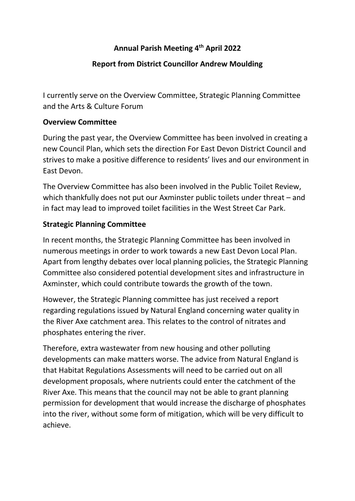# **Annual Parish Meeting 4th April 2022**

## **Report from District Councillor Andrew Moulding**

I currently serve on the Overview Committee, Strategic Planning Committee and the Arts & Culture Forum

#### **Overview Committee**

During the past year, the Overview Committee has been involved in creating a new Council Plan, which sets the direction For East Devon District Council and strives to make a positive difference to residents' lives and our environment in East Devon.

The Overview Committee has also been involved in the Public Toilet Review, which thankfully does not put our Axminster public toilets under threat – and in fact may lead to improved toilet facilities in the West Street Car Park.

### **Strategic Planning Committee**

In recent months, the Strategic Planning Committee has been involved in numerous meetings in order to work towards a new East Devon Local Plan. Apart from lengthy debates over local planning policies, the Strategic Planning Committee also considered potential development sites and infrastructure in Axminster, which could contribute towards the growth of the town.

However, the Strategic Planning committee has just received a report regarding regulations issued by Natural England concerning water quality in the River Axe catchment area. This relates to the control of nitrates and phosphates entering the river.

Therefore, extra wastewater from new housing and other polluting developments can make matters worse. The advice from Natural England is that Habitat Regulations Assessments will need to be carried out on all development proposals, where nutrients could enter the catchment of the River Axe. This means that the council may not be able to grant planning permission for development that would increase the discharge of phosphates into the river, without some form of mitigation, which will be very difficult to achieve.